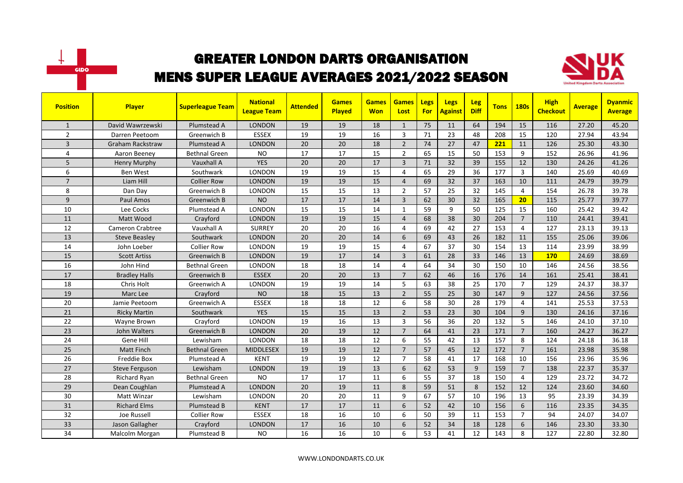



| <b>Position</b> | <b>Player</b>           | <b>Superleague Team</b> | <b>National</b><br><b>League Team</b> | <b>Attended</b> | <b>Games</b><br>Played | <b>Games</b><br><b>Won</b> | <b>Games</b><br>Lost | Legs<br><b>For</b> | <b>Legs</b><br><b>Against</b> | <b>Leg</b><br><b>Diff</b> | <b>Tons</b> | <b>180s</b>    | <b>High</b><br><b>Checkout</b> | <b>Average</b> | <b>Dyanmic</b><br><b>Average</b> |
|-----------------|-------------------------|-------------------------|---------------------------------------|-----------------|------------------------|----------------------------|----------------------|--------------------|-------------------------------|---------------------------|-------------|----------------|--------------------------------|----------------|----------------------------------|
| $\mathbf{1}$    | David Wawrzewski        | Plumstead A             | <b>LONDON</b>                         | 19              | 19                     | 18                         | $\mathbf{1}$         | 75                 | 11                            | 64                        | 194         | 15             | 116                            | 27.20          | 45.20                            |
| $\overline{2}$  | Darren Peetoom          | Greenwich B             | <b>ESSEX</b>                          | 19              | 19                     | 16                         | 3                    | 71                 | 23                            | 48                        | 208         | 15             | 120                            | 27.94          | 43.94                            |
| $\overline{3}$  | <b>Graham Rackstraw</b> | Plumstead A             | <b>LONDON</b>                         | 20              | 20                     | 18                         | $\overline{2}$       | 74                 | 27                            | 47                        | 221         | 11             | 126                            | 25.30          | 43.30                            |
| 4               | Aaron Beeney            | <b>Bethnal Green</b>    | <b>NO</b>                             | 17              | 17                     | 15                         | $\overline{2}$       | 65                 | 15                            | 50                        | 153         | 9              | 152                            | 26.96          | 41.96                            |
| 5               | <b>Henry Murphy</b>     | Vauxhall A              | <b>YES</b>                            | 20              | 20                     | 17                         | $\overline{3}$       | 71                 | 32                            | 39                        | 155         | 12             | 130                            | 24.26          | 41.26                            |
| 6               | <b>Ben West</b>         | Southwark               | <b>LONDON</b>                         | 19              | 19                     | 15                         | 4                    | 65                 | 29                            | 36                        | 177         | 3              | 140                            | 25.69          | 40.69                            |
| $\overline{7}$  | Liam Hill               | <b>Collier Row</b>      | <b>LONDON</b>                         | 19              | 19                     | 15                         | $\overline{4}$       | 69                 | 32                            | 37                        | 163         | 10             | 111                            | 24.79          | 39.79                            |
| 8               | Dan Day                 | Greenwich B             | <b>LONDON</b>                         | 15              | 15                     | 13                         | $\overline{2}$       | 57                 | 25                            | 32                        | 145         | 4              | 154                            | 26.78          | 39.78                            |
| 9               | Paul Amos               | Greenwich B             | <b>NO</b>                             | 17              | 17                     | 14                         | $\overline{3}$       | 62                 | 30                            | 32                        | 165         | 20             | 115                            | 25.77          | 39.77                            |
| 10              | Lee Cocks               | Plumstead A             | LONDON                                | 15              | 15                     | 14                         | 1                    | 59                 | 9                             | 50                        | 125         | 15             | 160                            | 25.42          | 39.42                            |
| 11              | Matt Wood               | Crayford                | <b>LONDON</b>                         | 19              | 19                     | 15                         | $\overline{4}$       | 68                 | 38                            | 30                        | 204         | $\overline{7}$ | 110                            | 24.41          | 39.41                            |
| 12              | <b>Cameron Crabtree</b> | Vauxhall A              | <b>SURREY</b>                         | 20              | 20                     | 16                         | 4                    | 69                 | 42                            | 27                        | 153         | $\overline{4}$ | 127                            | 23.13          | 39.13                            |
| 13              | <b>Steve Beasley</b>    | Southwark               | <b>LONDON</b>                         | 20              | 20                     | 14                         | 6                    | 69                 | 43                            | 26                        | 182         | 11             | 155                            | 25.06          | 39.06                            |
| 14              | John Loeber             | <b>Collier Row</b>      | <b>LONDON</b>                         | 19              | 19                     | 15                         | $\overline{4}$       | 67                 | 37                            | 30                        | 154         | 13             | 114                            | 23.99          | 38.99                            |
| 15              | <b>Scott Artiss</b>     | Greenwich B             | <b>LONDON</b>                         | 19              | 17                     | 14                         | $\overline{3}$       | 61                 | 28                            | 33                        | 146         | 13             | 170                            | 24.69          | 38.69                            |
| 16              | John Hind               | <b>Bethnal Green</b>    | LONDON                                | 18              | 18                     | 14                         | $\overline{4}$       | 64                 | 34                            | 30                        | 150         | 10             | 146                            | 24.56          | 38.56                            |
| 17              | <b>Bradley Halls</b>    | Greenwich B             | <b>ESSEX</b>                          | 20              | 20                     | 13                         | $\overline{7}$       | 62                 | 46                            | 16                        | 176         | 14             | 161                            | 25.41          | 38.41                            |
| 18              | Chris Holt              | Greenwich A             | LONDON                                | 19              | 19                     | 14                         | 5                    | 63                 | 38                            | 25                        | 170         | $\overline{7}$ | 129                            | 24.37          | 38.37                            |
| 19              | Marc Lee                | Crayford                | <b>NO</b>                             | 18              | 15                     | 13                         | $\overline{2}$       | 55                 | 25                            | 30                        | 147         | $\overline{9}$ | 127                            | 24.56          | 37.56                            |
| 20              | Jamie Peetoom           | Greenwich A             | <b>ESSEX</b>                          | 18              | 18                     | 12                         | 6                    | 58                 | 30                            | 28                        | 179         | 4              | 141                            | 25.53          | 37.53                            |
| 21              | <b>Ricky Martin</b>     | Southwark               | <b>YES</b>                            | 15              | 15                     | 13                         | $\overline{2}$       | 53                 | 23                            | 30                        | 104         | 9              | 130                            | 24.16          | 37.16                            |
| 22              | Wayne Brown             | Crayford                | LONDON                                | 19              | 16                     | 13                         | $\overline{3}$       | 56                 | 36                            | 20                        | 132         | 5              | 146                            | 24.10          | 37.10                            |
| 23              | John Walters            | Greenwich B             | <b>LONDON</b>                         | 20              | 19                     | 12                         | $\overline{7}$       | 64                 | 41                            | 23                        | 171         | $\overline{7}$ | 160                            | 24.27          | 36.27                            |
| 24              | Gene Hill               | Lewisham                | <b>LONDON</b>                         | 18              | 18                     | 12                         | 6                    | 55                 | 42                            | 13                        | 157         | 8              | 124                            | 24.18          | 36.18                            |
| 25              | Matt Finch              | <b>Bethnal Green</b>    | <b>MIDDLESEX</b>                      | 19              | 19                     | 12                         | $\overline{7}$       | 57                 | 45                            | 12                        | 172         | $\overline{7}$ | 161                            | 23.98          | 35.98                            |
| 26              | Freddie Box             | Plumstead A             | <b>KENT</b>                           | 19              | 19                     | 12                         | $\overline{7}$       | 58                 | 41                            | 17                        | 168         | 10             | 156                            | 23.96          | 35.96                            |
| 27              | <b>Steve Ferguson</b>   | Lewisham                | <b>LONDON</b>                         | 19              | 19                     | 13                         | 6                    | 62                 | 53                            | 9                         | 159         | $\overline{7}$ | 138                            | 22.37          | 35.37                            |
| 28              | Richard Ryan            | <b>Bethnal Green</b>    | <b>NO</b>                             | 17              | 17                     | 11                         | 6                    | 55                 | 37                            | 18                        | 150         | $\overline{4}$ | 129                            | 23.72          | 34.72                            |
| 29              | Dean Coughlan           | Plumstead A             | <b>LONDON</b>                         | 20              | 19                     | 11                         | 8                    | 59                 | 51                            | 8                         | 152         | 12             | 124                            | 23.60          | 34.60                            |
| 30              | <b>Matt Winzar</b>      | Lewisham                | <b>LONDON</b>                         | 20              | 20                     | 11                         | 9                    | 67                 | 57                            | 10                        | 196         | 13             | 95                             | 23.39          | 34.39                            |
| 31              | <b>Richard Elms</b>     | Plumstead B             | <b>KENT</b>                           | 17              | 17                     | 11                         | 6                    | 52                 | 42                            | 10                        | 156         | 6              | 116                            | 23.35          | 34.35                            |
| 32              | Joe Russell             | <b>Collier Row</b>      | <b>ESSEX</b>                          | 18              | 16                     | 10                         | 6                    | 50                 | 39                            | 11                        | 153         | $\overline{7}$ | 94                             | 24.07          | 34.07                            |
| 33              | Jason Gallagher         | Crayford                | <b>LONDON</b>                         | 17              | 16                     | 10                         | 6                    | 52                 | 34                            | 18                        | 128         | 6              | 146                            | 23.30          | 33.30                            |
| 34              | Malcolm Morgan          | Plumstead B             | <b>NO</b>                             | 16              | 16                     | 10                         | 6                    | 53                 | 41                            | 12                        | 143         | 8              | 127                            | 22.80          | 32.80                            |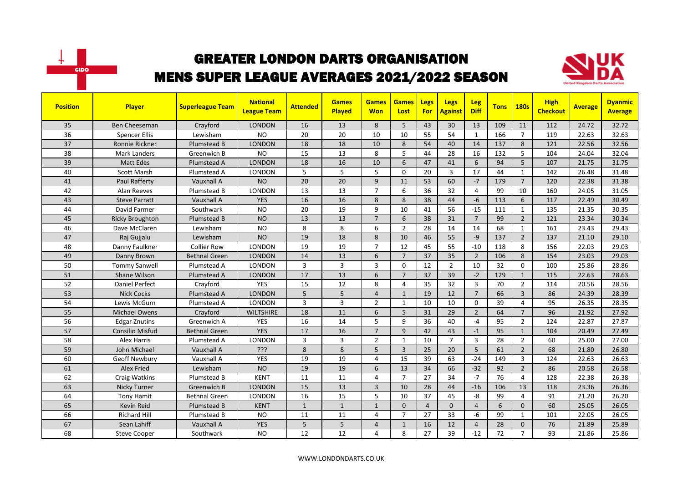



| <b>Position</b> | <b>Player</b>          | <b>Superleague Team</b> | <b>National</b><br><b>League Team</b> | <b>Attended</b> | <b>Games</b><br>Played | <b>Games</b><br><b>Won</b> | <b>Games</b><br>Lost | <b>Legs</b><br><b>For</b> | <b>Legs</b><br><b>Against</b> | <b>Leg</b><br><b>Diff</b> | <b>Tons</b> | <b>180s</b>    | <b>High</b><br><b>Checkout</b> | <b>Average</b> | <b>Dyanmic</b><br><b>Average</b> |
|-----------------|------------------------|-------------------------|---------------------------------------|-----------------|------------------------|----------------------------|----------------------|---------------------------|-------------------------------|---------------------------|-------------|----------------|--------------------------------|----------------|----------------------------------|
| 35              | <b>Ben Cheeseman</b>   | Crayford                | <b>LONDON</b>                         | 16              | 13                     | 8                          | 5                    | 43                        | 30                            | 13                        | 109         | 11             | 112                            | 24.72          | 32.72                            |
| 36              | <b>Spencer Ellis</b>   | Lewisham                | <b>NO</b>                             | 20              | 20                     | 10                         | 10                   | 55                        | 54                            | $\mathbf{1}$              | 166         | $\overline{7}$ | 119                            | 22.63          | 32.63                            |
| 37              | Ronnie Rickner         | Plumstead B             | <b>LONDON</b>                         | 18              | 18                     | 10                         | 8                    | 54                        | 40                            | 14                        | 137         | 8              | 121                            | 22.56          | 32.56                            |
| 38              | <b>Mark Landers</b>    | Greenwich B             | <b>NO</b>                             | 15              | 13                     | 8                          | 5                    | 44                        | 28                            | 16                        | 132         | 5              | 104                            | 24.04          | 32.04                            |
| 39              | <b>Matt Edes</b>       | Plumstead A             | <b>LONDON</b>                         | 18              | 16                     | 10                         | 6                    | 47                        | 41                            | 6                         | 94          | 5              | 107                            | 21.75          | 31.75                            |
| 40              | <b>Scott Marsh</b>     | Plumstead A             | LONDON                                | 5               | 5                      | 5                          | $\Omega$             | 20                        | 3                             | 17                        | 44          | $\mathbf{1}$   | 142                            | 26.48          | 31.48                            |
| 41              | Paul Rafferty          | Vauxhall A              | <b>NO</b>                             | 20              | 20                     | 9                          | 11                   | 53                        | 60                            | $-7$                      | 179         | $\overline{7}$ | 120                            | 22.38          | 31.38                            |
| 42              | Alan Reeves            | Plumstead B             | <b>LONDON</b>                         | 13              | 13                     | $\overline{7}$             | 6                    | 36                        | 32                            | $\overline{4}$            | 99          | 10             | 160                            | 24.05          | 31.05                            |
| 43              | <b>Steve Parratt</b>   | Vauxhall A              | <b>YES</b>                            | 16              | 16                     | 8                          | 8                    | 38                        | 44                            | $-6$                      | 113         | 6              | 117                            | 22.49          | 30.49                            |
| 44              | David Farmer           | Southwark               | <b>NO</b>                             | 20              | 19                     | 9                          | 10                   | 41                        | 56                            | $-15$                     | 111         | $\mathbf{1}$   | 135                            | 21.35          | 30.35                            |
| 45              | <b>Ricky Broughton</b> | Plumstead B             | <b>NO</b>                             | 13              | 13                     | $\overline{7}$             | 6                    | 38                        | 31                            | $\overline{7}$            | 99          | $\overline{2}$ | 121                            | 23.34          | 30.34                            |
| 46              | Dave McClaren          | Lewisham                | <b>NO</b>                             | 8               | 8                      | 6                          | $\overline{2}$       | 28                        | 14                            | 14                        | 68          | 1              | 161                            | 23.43          | 29.43                            |
| 47              | Raj Gujjalu            | Lewisham                | <b>NO</b>                             | 19              | 18                     | 8                          | 10                   | 46                        | 55                            | $-9$                      | 137         | $\overline{2}$ | 137                            | 21.10          | 29.10                            |
| 48              | Danny Faulkner         | <b>Collier Row</b>      | <b>LONDON</b>                         | 19              | 19                     | $\overline{7}$             | 12                   | 45                        | 55                            | $-10$                     | 118         | 8              | 156                            | 22.03          | 29.03                            |
| 49              | Danny Brown            | <b>Bethnal Green</b>    | <b>LONDON</b>                         | 14              | 13                     | 6                          | $\overline{7}$       | 37                        | 35                            | $\overline{2}$            | 106         | 8              | 154                            | 23.03          | 29.03                            |
| 50              | <b>Tommy Sanwell</b>   | Plumstead A             | <b>LONDON</b>                         | $\overline{3}$  | $\overline{3}$         | 3                          | $\Omega$             | 12                        | $\overline{2}$                | 10                        | 32          | $\Omega$       | 100                            | 25.86          | 28.86                            |
| 51              | Shane Wilson           | Plumstead A             | <b>LONDON</b>                         | 17              | 13                     | 6                          | $\overline{7}$       | 37                        | 39                            | $-2$                      | 129         | $\mathbf{1}$   | 115                            | 22.63          | 28.63                            |
| 52              | <b>Daniel Perfect</b>  | Crayford                | <b>YES</b>                            | 15              | 12                     | 8                          | $\overline{4}$       | 35                        | 32                            | $\overline{3}$            | 70          | $\overline{2}$ | 114                            | 20.56          | 28.56                            |
| 53              | <b>Nick Cocks</b>      | Plumstead A             | <b>LONDON</b>                         | 5               | 5                      | $\overline{4}$             | $\mathbf{1}$         | 19                        | 12                            | $\overline{7}$            | 66          | $\overline{3}$ | 86                             | 24.39          | 28.39                            |
| 54              | Lewis McGurn           | Plumstead A             | <b>LONDON</b>                         | 3               | $\overline{3}$         | $\overline{2}$             | $\mathbf{1}$         | 10                        | 10                            | $\mathbf 0$               | 39          | $\overline{4}$ | 95                             | 26.35          | 28.35                            |
| 55              | <b>Michael Owens</b>   | Crayford                | <b>WILTSHIRE</b>                      | 18              | 11                     | 6                          | 5                    | 31                        | 29                            | $\overline{2}$            | 64          | $\overline{7}$ | 96                             | 21.92          | 27.92                            |
| 56              | <b>Edgar Znutins</b>   | Greenwich A             | <b>YES</b>                            | 16              | 14                     | 5                          | 9                    | 36                        | 40                            | $-4$                      | 95          | $\overline{2}$ | 124                            | 22.87          | 27.87                            |
| 57              | <b>Consilio Misfud</b> | Bethnal Green           | <b>YES</b>                            | 17              | 16                     | $\overline{7}$             | 9                    | 42                        | 43                            | $-1$                      | 95          | $\mathbf{1}$   | 104                            | 20.49          | 27.49                            |
| 58              | Alex Harris            | Plumstead A             | LONDON                                | 3               | $\overline{3}$         | $\overline{2}$             | $\mathbf{1}$         | 10                        | $\overline{7}$                | 3                         | 28          | $\overline{2}$ | 60                             | 25.00          | 27.00                            |
| 59              | John Michael           | Vauxhall A              | ?ְיָ                                  | 8               | 8                      | 5                          | $\overline{3}$       | 25                        | 20                            | $5\phantom{.0}$           | 61          | $\overline{2}$ | 68                             | 21.80          | 26.80                            |
| 60              | <b>Geoff Newbury</b>   | Vauxhall A              | <b>YES</b>                            | 19              | 19                     | 4                          | 15                   | 39                        | 63                            | $-24$                     | 149         | $\overline{3}$ | 124                            | 22.63          | 26.63                            |
| 61              | <b>Alex Fried</b>      | Lewisham                | <b>NO</b>                             | 19              | 19                     | 6                          | 13                   | 34                        | 66                            | $-32$                     | 92          | $\overline{2}$ | 86                             | 20.58          | 26.58                            |
| 62              | Craig Watkins          | Plumstead B             | <b>KENT</b>                           | 11              | 11                     | 4                          | $\overline{7}$       | 27                        | 34                            | $-7$                      | 76          | 4              | 128                            | 22.38          | 26.38                            |
| 63              | <b>Nicky Turner</b>    | Greenwich B             | <b>LONDON</b>                         | 15              | 13                     | $\overline{3}$             | 10                   | 28                        | 44                            | $-16$                     | 106         | 13             | 118                            | 23.36          | 26.36                            |
| 64              | <b>Tony Hamit</b>      | <b>Bethnal Green</b>    | <b>LONDON</b>                         | 16              | 15                     | 5                          | 10                   | 37                        | 45                            | -8                        | 99          | 4              | 91                             | 21.20          | 26.20                            |
| 65              | Kevin Reid             | Plumstead B             | <b>KENT</b>                           | $\mathbf{1}$    | $\mathbf{1}$           | $\mathbf{1}$               | $\mathbf 0$          | $\overline{4}$            | $\mathbf 0$                   | $\overline{4}$            | 6           | $\mathbf{0}$   | 60                             | 25.05          | 26.05                            |
| 66              | <b>Richard Hill</b>    | Plumstead B             | <b>NO</b>                             | 11              | 11                     | 4                          | $\overline{7}$       | 27                        | 33                            | -6                        | 99          | $\mathbf{1}$   | 101                            | 22.05          | 26.05                            |
| 67              | Sean Lahiff            | Vauxhall A              | <b>YES</b>                            | 5               | 5                      | $\overline{4}$             | $\mathbf{1}$         | 16                        | 12                            | $\overline{4}$            | 28          | $\mathbf 0$    | 76                             | 21.89          | 25.89                            |
| 68              | <b>Steve Cooper</b>    | Southwark               | <b>NO</b>                             | 12              | 12                     | 4                          | 8                    | 27                        | 39                            | $-12$                     | 72          | $\overline{7}$ | 93                             | 21.86          | 25.86                            |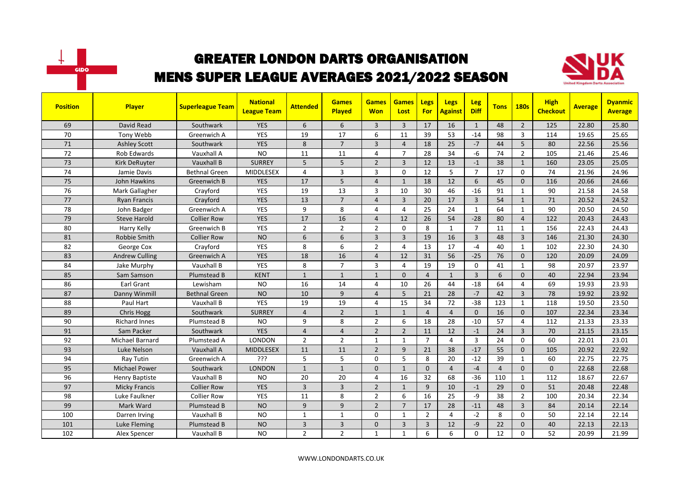



| <b>Position</b> | <b>Player</b>         | <b>Superleague Team</b> | <b>National</b><br><b>League Team</b> | <b>Attended</b> | <b>Games</b><br><b>Played</b> | <b>Games</b><br><b>Won</b> | <b>Games</b><br>Lost | <b>Legs</b><br><b>For</b> | <b>Legs</b><br><b>Against</b> | Leg<br><b>Diff</b> | <b>Tons</b>    | <b>180s</b>    | <b>High</b><br><b>Checkout</b> | <b>Average</b> | <b>Dyanmic</b><br><b>Average</b> |
|-----------------|-----------------------|-------------------------|---------------------------------------|-----------------|-------------------------------|----------------------------|----------------------|---------------------------|-------------------------------|--------------------|----------------|----------------|--------------------------------|----------------|----------------------------------|
| 69              | David Read            | Southwark               | <b>YES</b>                            | 6               | 6                             | 3                          | $\overline{3}$       | 17                        | 16                            | $\mathbf{1}$       | 48             | $\overline{2}$ | 125                            | 22.80          | 25.80                            |
| 70              | Tony Webb             | Greenwich A             | <b>YES</b>                            | 19              | 17                            | 6                          | 11                   | 39                        | 53                            | $-14$              | 98             | $\overline{3}$ | 114                            | 19.65          | 25.65                            |
| 71              | <b>Ashley Scott</b>   | Southwark               | <b>YES</b>                            | 8               | $\overline{7}$                | 3                          | $\overline{4}$       | 18                        | 25                            | $-7$               | 44             | 5              | 80                             | 22.56          | 25.56                            |
| 72              | Rob Edwards           | Vauxhall A              | <b>NO</b>                             | 11              | 11                            | 4                          | $\overline{7}$       | 28                        | 34                            | $-6$               | 74             | $\overline{2}$ | 105                            | 21.46          | 25.46                            |
| 73              | Kirk DeRuyter         | Vauxhall B              | <b>SURREY</b>                         | 5               | 5                             | $\overline{2}$             | $\overline{3}$       | 12                        | 13                            | $-1$               | 38             | $\mathbf{1}$   | 160                            | 23.05          | 25.05                            |
| 74              | Jamie Davis           | <b>Bethnal Green</b>    | <b>MIDDLESEX</b>                      | 4               | $\overline{3}$                | 3                          | $\Omega$             | 12                        | 5                             | $\overline{7}$     | 17             | $\mathbf 0$    | 74                             | 21.96          | 24.96                            |
| 75              | John Hawkins          | Greenwich B             | <b>YES</b>                            | 17              | 5                             | $\overline{4}$             | $\mathbf{1}$         | 18                        | 12                            | 6                  | 45             | $\mathbf 0$    | 116                            | 20.66          | 24.66                            |
| 76              | Mark Gallagher        | Crayford                | YES                                   | 19              | 13                            | 3                          | 10                   | 30                        | 46                            | $-16$              | 91             | $\mathbf{1}$   | 90                             | 21.58          | 24.58                            |
| 77              | <b>Ryan Francis</b>   | Crayford                | <b>YES</b>                            | 13              | $\overline{7}$                | $\overline{4}$             | 3                    | 20                        | 17                            | $\overline{3}$     | 54             | $\mathbf{1}$   | 71                             | 20.52          | 24.52                            |
| 78              | John Badger           | Greenwich A             | <b>YES</b>                            | 9               | 8                             | 4                          | $\overline{4}$       | 25                        | 24                            | $\mathbf{1}$       | 64             | $\mathbf{1}$   | 90                             | 20.50          | 24.50                            |
| 79              | <b>Steve Harold</b>   | <b>Collier Row</b>      | <b>YES</b>                            | 17              | 16                            | 4                          | 12                   | 26                        | 54                            | $-28$              | 80             | $\overline{4}$ | 122                            | 20.43          | 24.43                            |
| 80              | Harry Kelly           | Greenwich B             | YES                                   | $\overline{2}$  | $\overline{2}$                | $\overline{2}$             | 0                    | 8                         | $\mathbf{1}$                  | $\overline{7}$     | 11             | $\mathbf{1}$   | 156                            | 22.43          | 24.43                            |
| 81              | Robbie Smith          | <b>Collier Row</b>      | <b>NO</b>                             | 6               | 6                             | $\overline{3}$             | 3                    | 19                        | 16                            | 3                  | 48             | $\overline{3}$ | 146                            | 21.30          | 24.30                            |
| 82              | George Cox            | Crayford                | <b>YES</b>                            | 8               | 6                             | $\overline{2}$             | $\overline{a}$       | 13                        | 17                            | $-4$               | 40             | $\mathbf{1}$   | 102                            | 22.30          | 24.30                            |
| 83              | <b>Andrew Culling</b> | Greenwich A             | <b>YES</b>                            | 18              | 16                            | $\overline{4}$             | 12                   | 31                        | 56                            | $-25$              | 76             | $\mathbf{0}$   | 120                            | 20.09          | 24.09                            |
| 84              | Jake Murphy           | Vauxhall B              | <b>YES</b>                            | 8               | $\overline{7}$                | 3                          | $\overline{4}$       | 19                        | 19                            | $\Omega$           | 41             | $\mathbf{1}$   | 98                             | 20.97          | 23.97                            |
| 85              | Sam Samson            | Plumstead B             | <b>KENT</b>                           | $\mathbf{1}$    | $\mathbf{1}$                  | $\mathbf{1}$               | $\Omega$             | $\overline{4}$            | $\mathbf{1}$                  | $\overline{3}$     | 6              | $\Omega$       | 40                             | 22.94          | 23.94                            |
| 86              | Earl Grant            | Lewisham                | <b>NO</b>                             | 16              | 14                            | 4                          | 10                   | 26                        | 44                            | $-18$              | 64             | $\overline{4}$ | 69                             | 19.93          | 23.93                            |
| 87              | Danny Winmill         | <b>Bethnal Green</b>    | <b>NO</b>                             | 10              | 9                             | $\overline{4}$             | 5                    | 21                        | 28                            | $-7$               | 42             | $\overline{3}$ | 78                             | 19.92          | 23.92                            |
| 88              | Paul Hart             | Vauxhall B              | <b>YES</b>                            | 19              | 19                            | 4                          | 15                   | 34                        | 72                            | $-38$              | 123            | $\mathbf{1}$   | 118                            | 19.50          | 23.50                            |
| 89              | Chris Hogg            | Southwark               | <b>SURREY</b>                         | $\overline{4}$  | $\overline{2}$                | $\mathbf{1}$               | $\mathbf{1}$         | $\overline{4}$            | $\overline{4}$                | $\Omega$           | 16             | $\mathbf{0}$   | 107                            | 22.34          | 23.34                            |
| 90              | <b>Richard Innes</b>  | Plumstead B             | <b>NO</b>                             | 9               | 8                             | $\overline{2}$             | 6                    | 18                        | 28                            | $-10$              | 57             | $\overline{4}$ | 112                            | 21.33          | 23.33                            |
| 91              | Sam Packer            | Southwark               | <b>YES</b>                            | $\overline{4}$  | $\overline{4}$                | $\overline{2}$             | $\overline{2}$       | 11                        | 12                            | $-1$               | 24             | $\overline{3}$ | 70                             | 21.15          | 23.15                            |
| 92              | Michael Barnard       | Plumstead A             | <b>LONDON</b>                         | $\overline{2}$  | $\overline{2}$                | $\mathbf{1}$               | $\mathbf{1}$         | $\overline{7}$            | 4                             | 3                  | 24             | 0              | 60                             | 22.01          | 23.01                            |
| 93              | Luke Nelson           | Vauxhall A              | <b>MIDDLESEX</b>                      | 11              | 11                            | $\overline{2}$             | 9                    | 21                        | 38                            | $-17$              | 55             | $\mathbf{0}$   | 105                            | 20.92          | 22.92                            |
| 94              | Ray Tutin             | Greenwich A             | ???                                   | 5               | 5                             | 0                          | 5                    | 8                         | 20                            | $-12$              | 39             | $\mathbf{1}$   | 60                             | 22.75          | 22.75                            |
| 95              | <b>Michael Power</b>  | Southwark               | <b>LONDON</b>                         | $\mathbf{1}$    | $\mathbf{1}$                  | $\mathbf{0}$               | $\mathbf{1}$         | $\mathbf{0}$              | $\overline{4}$                | $-4$               | $\overline{4}$ | $\mathbf{0}$   | 0                              | 22.68          | 22.68                            |
| 96              | <b>Henry Baptiste</b> | Vauxhall B              | <b>NO</b>                             | 20              | 20                            | 4                          | 16                   | 32                        | 68                            | $-36$              | 110            | $\mathbf{1}$   | 112                            | 18.67          | 22.67                            |
| 97              | <b>Micky Francis</b>  | <b>Collier Row</b>      | <b>YES</b>                            | 3               | $\overline{3}$                | $\overline{2}$             | $\mathbf{1}$         | 9                         | 10                            | $-1$               | 29             | $\Omega$       | 51                             | 20.48          | 22.48                            |
| 98              | Luke Faulkner         | <b>Collier Row</b>      | <b>YES</b>                            | 11              | 8                             | $\overline{2}$             | 6                    | 16                        | 25                            | $-9$               | 38             | $\overline{2}$ | 100                            | 20.34          | 22.34                            |
| 99              | Mark Ward             | <b>Plumstead B</b>      | <b>NO</b>                             | 9               | 9                             | $\overline{2}$             | $\overline{7}$       | 17                        | 28                            | $-11$              | 48             | $\overline{3}$ | 84                             | 20.14          | 22.14                            |
| 100             | Darren Irving         | Vauxhall B              | <b>NO</b>                             | $\mathbf{1}$    | $\mathbf{1}$                  | 0                          | $\mathbf{1}$         | $\overline{2}$            | $\overline{4}$                | $-2$               | 8              | 0              | 50                             | 22.14          | 22.14                            |
| 101             | <b>Luke Fleming</b>   | Plumstead B             | <b>NO</b>                             | 3               | $\overline{\mathbf{3}}$       | $\mathbf{0}$               | 3                    | 3                         | 12                            | -9                 | 22             | $\mathbf 0$    | 40                             | 22.13          | 22.13                            |
| 102             | Alex Spencer          | Vauxhall B              | <b>NO</b>                             | $\overline{2}$  | $\overline{2}$                | $\mathbf{1}$               | 1                    | 6                         | 6                             | $\Omega$           | 12             | 0              | 52                             | 20.99          | 21.99                            |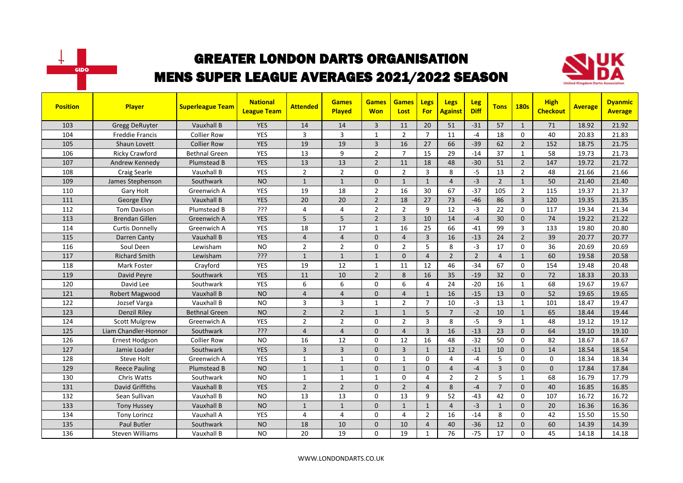



| <b>Position</b> | <b>Player</b>          | <b>Superleague Team</b> | <b>National</b><br><b>League Team</b> | <b>Attended</b> | <b>Games</b><br><b>Played</b> | <b>Games</b><br><b>Won</b> | <b>Games</b><br>Lost | <b>Legs</b><br><b>For</b> | <b>Legs</b><br><b>Against</b> | <b>Leg</b><br><b>Diff</b> | <b>Tons</b>    | <b>180s</b>    | <b>High</b><br><b>Checkout</b> | <b>Average</b> | <b>Dyanmic</b><br><b>Average</b> |
|-----------------|------------------------|-------------------------|---------------------------------------|-----------------|-------------------------------|----------------------------|----------------------|---------------------------|-------------------------------|---------------------------|----------------|----------------|--------------------------------|----------------|----------------------------------|
| 103             | <b>Gregg DeRuyter</b>  | Vauxhall B              | <b>YES</b>                            | 14              | 14                            | $\overline{3}$             | 11                   | 20                        | 51                            | $-31$                     | 57             | $\mathbf{1}$   | 71                             | 18.92          | 21.92                            |
| 104             | <b>Freddie Francis</b> | <b>Collier Row</b>      | YES                                   | 3               | 3                             | $\mathbf{1}$               | $\overline{2}$       | $\overline{7}$            | 11                            | $-4$                      | 18             | $\Omega$       | 40                             | 20.83          | 21.83                            |
| 105             | Shaun Lovett           | <b>Collier Row</b>      | <b>YES</b>                            | 19              | 19                            | 3                          | 16                   | 27                        | 66                            | $-39$                     | 62             | $\overline{2}$ | 152                            | 18.75          | 21.75                            |
| 106             | <b>Ricky Crawford</b>  | <b>Bethnal Green</b>    | YES                                   | 13              | 9                             | $\overline{2}$             | $\overline{7}$       | 15                        | 29                            | $-14$                     | 37             | $\mathbf{1}$   | 58                             | 19.73          | 21.73                            |
| 107             | Andrew Kennedy         | Plumstead B             | <b>YES</b>                            | 13              | 13                            | $\overline{2}$             | 11                   | 18                        | 48                            | $-30$                     | 51             | $\overline{2}$ | 147                            | 19.72          | 21.72                            |
| 108             | Craig Searle           | Vauxhall B              | <b>YES</b>                            | $\overline{2}$  | $\overline{2}$                | 0                          | $\overline{2}$       | $\overline{3}$            | 8                             | $-5$                      | 13             | $\overline{2}$ | 48                             | 21.66          | 21.66                            |
| 109             | James Stephenson       | Southwark               | <b>NO</b>                             | $\mathbf{1}$    | $\mathbf{1}$                  | $\Omega$                   | $\mathbf{1}$         | $\mathbf{1}$              | $\overline{4}$                | $-3$                      | $\overline{2}$ | $\mathbf{1}$   | 50                             | 21.40          | 21.40                            |
| 110             | Gary Holt              | Greenwich A             | YES                                   | 19              | 18                            | $\overline{2}$             | 16                   | 30                        | 67                            | $-37$                     | 105            | $\overline{2}$ | 115                            | 19.37          | 21.37                            |
| 111             | George Elvy            | Vauxhall B              | <b>YES</b>                            | 20              | 20                            | $\overline{2}$             | 18                   | 27                        | 73                            | $-46$                     | 86             | $\overline{3}$ | 120                            | 19.35          | 21.35                            |
| 112             | Tom Davison            | Plumstead B             | ???                                   | 4               | 4                             | $\overline{2}$             | $\overline{2}$       | 9                         | 12                            | $-3$                      | 22             | $\mathbf 0$    | 117                            | 19.34          | 21.34                            |
| 113             | <b>Brendan Gillen</b>  | Greenwich A             | <b>YES</b>                            | 5               | 5                             | $\overline{2}$             | $\overline{3}$       | 10                        | 14                            | $-4$                      | 30             | $\Omega$       | 74                             | 19.22          | 21.22                            |
| 114             | <b>Curtis Donnelly</b> | Greenwich A             | <b>YES</b>                            | 18              | 17                            | $\mathbf{1}$               | 16                   | 25                        | 66                            | $-41$                     | 99             | $\overline{3}$ | 133                            | 19.80          | 20.80                            |
| 115             | Darren Canty           | Vauxhall B              | <b>YES</b>                            | $\overline{4}$  | $\overline{4}$                | $\mathbf{0}$               | $\overline{4}$       | $\overline{3}$            | 16                            | $-13$                     | 24             | $\overline{2}$ | 39                             | 20.77          | 20.77                            |
| 116             | Soul Deen              | Lewisham                | <b>NO</b>                             | $\overline{2}$  | $\overline{2}$                | $\Omega$                   | $\overline{2}$       | 5                         | 8                             | $-3$                      | 17             | $\mathbf 0$    | 36                             | 20.69          | 20.69                            |
| 117             | <b>Richard Smith</b>   | Lewisham                | $\overline{\mathcal{S}}$ יל           | $\mathbf{1}$    | $\mathbf{1}$                  | $\mathbf{1}$               | $\Omega$             | $\overline{4}$            | $\overline{2}$                | $\overline{2}$            | $\overline{a}$ | $\mathbf{1}$   | 60                             | 19.58          | 20.58                            |
| 118             | Mark Foster            | Crayford                | YES                                   | 19              | 12                            | $\mathbf{1}$               | 11                   | 12                        | 46                            | $-34$                     | 67             | $\Omega$       | 154                            | 19.48          | 20.48                            |
| 119             | David Peyre            | Southwark               | <b>YES</b>                            | 11              | 10                            | $\overline{2}$             | 8                    | 16                        | 35                            | $-19$                     | 32             | $\mathbf{0}$   | 72                             | 18.33          | 20.33                            |
| 120             | David Lee              | Southwark               | <b>YES</b>                            | 6               | 6                             | 0                          | 6                    | $\overline{4}$            | 24                            | $-20$                     | 16             | $\mathbf{1}$   | 68                             | 19.67          | 19.67                            |
| 121             | Robert Magwood         | Vauxhall B              | <b>NO</b>                             | $\overline{4}$  | $\overline{4}$                | $\mathbf{0}$               | $\overline{4}$       | $\mathbf{1}$              | 16                            | $-15$                     | 13             | $\mathbf{0}$   | 52                             | 19.65          | 19.65                            |
| 122             | Jozsef Varga           | Vauxhall B              | <b>NO</b>                             | 3               | 3                             | $\mathbf{1}$               | $\overline{2}$       | $\overline{7}$            | 10                            | $-3$                      | 13             | $\mathbf{1}$   | 101                            | 18.47          | 19.47                            |
| 123             | <b>Denzil Riley</b>    | <b>Bethnal Green</b>    | <b>NO</b>                             | $\overline{2}$  | $\overline{2}$                | $\mathbf{1}$               | $\mathbf{1}$         | $5\phantom{.}$            | $\overline{7}$                | $-2$                      | 10             | $\mathbf{1}$   | 65                             | 18.44          | 19.44                            |
| 124             | <b>Scott Mulgrew</b>   | Greenwich A             | <b>YES</b>                            | $\overline{2}$  | $\mathbf 2$                   | 0                          | $\overline{2}$       | $\overline{3}$            | 8                             | $-5$                      | 9              | $\mathbf{1}$   | 48                             | 19.12          | 19.12                            |
| 125             | Liam Chandler-Honnor   | Southwark               | ַרְרְי                                | $\overline{4}$  | $\overline{4}$                | $\mathbf{0}$               | $\overline{4}$       | $\overline{3}$            | 16                            | $-13$                     | 23             | $\mathbf{0}$   | 64                             | 19.10          | 19.10                            |
| 126             | <b>Ernest Hodgson</b>  | <b>Collier Row</b>      | <b>NO</b>                             | 16              | 12                            | 0                          | 12                   | 16                        | 48                            | $-32$                     | 50             | 0              | 82                             | 18.67          | 18.67                            |
| 127             | Jamie Loader           | Southwark               | <b>YES</b>                            | 3               | $\overline{3}$                | $\mathbf{0}$               | $\overline{3}$       | $\mathbf{1}$              | 12                            | $-11$                     | 10             | $\mathbf{0}$   | 14                             | 18.54          | 18.54                            |
| 128             | Steve Holt             | Greenwich A             | <b>YES</b>                            | $\mathbf{1}$    | $\mathbf{1}$                  | $\Omega$                   | $\mathbf{1}$         | $\mathbf{0}$              | $\overline{4}$                | $-4$                      | 5              | $\Omega$       | 0                              | 18.34          | 18.34                            |
| 129             | <b>Reece Pauling</b>   | Plumstead B             | <b>NO</b>                             | $\mathbf{1}$    | $\mathbf{1}$                  | 0                          | $\mathbf{1}$         | $\mathbf{0}$              | $\overline{4}$                | $-4$                      | 3              | $\mathbf{0}$   | $\mathbf{0}$                   | 17.84          | 17.84                            |
| 130             | <b>Chris Watts</b>     | Southwark               | <b>NO</b>                             | $\mathbf{1}$    | $\mathbf{1}$                  | $\mathbf{1}$               | $\Omega$             | $\overline{4}$            | $\overline{2}$                | $\overline{2}$            | 5              | $\mathbf{1}$   | 68                             | 16.79          | 17.79                            |
| 131             | David Griffiths        | Vauxhall B              | <b>YES</b>                            | $\overline{2}$  | $\overline{2}$                | $\mathbf{0}$               | $\overline{2}$       | $\overline{4}$            | 8                             | $-4$                      | $\overline{7}$ | $\Omega$       | 40                             | 16.85          | 16.85                            |
| 132             | Sean Sullivan          | Vauxhall B              | <b>NO</b>                             | 13              | 13                            | $\Omega$                   | 13                   | 9                         | 52                            | $-43$                     | 42             | $\Omega$       | 107                            | 16.72          | 16.72                            |
| 133             | <b>Tony Hussey</b>     | Vauxhall B              | <b>NO</b>                             | $\mathbf{1}$    | $\overline{1}$                | $\Omega$                   | $\mathbf{1}$         | $\mathbf{1}$              | $\overline{4}$                | $-3$                      | $\mathbf{1}$   | $\Omega$       | 20                             | 16.36          | 16.36                            |
| 134             | <b>Tony Lorincz</b>    | Vauxhall A              | <b>YES</b>                            | 4               | 4                             | 0                          | 4                    | $\overline{2}$            | 16                            | $-14$                     | 8              | 0              | 42                             | 15.50          | 15.50                            |
| 135             | <b>Paul Butler</b>     | Southwark               | <b>NO</b>                             | 18              | 10                            | 0                          | 10                   | $\overline{4}$            | 40                            | $-36$                     | 12             | $\mathbf{0}$   | 60                             | 14.39          | 14.39                            |
| 136             | <b>Steven Williams</b> | Vauxhall B              | <b>NO</b>                             | 20              | 19                            | $\Omega$                   | 19                   | $\mathbf{1}$              | 76                            | $-75$                     | 17             | $\Omega$       | 45                             | 14.18          | 14.18                            |